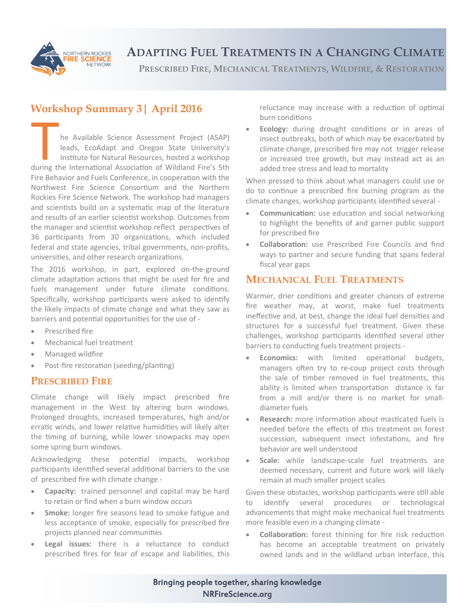

# **ADAPTING FUEL TREATMENTS IN A CHANGING CLIMATE**

**PRESCRIBED FIRE, MECHANICAL TREATMENTS, WILDFIRE, & RESTORATION**

## **Workshop Summary 3| April 2016**

The Available Science Assessment Project (ASAP)<br>leads, EcoAdapt and Oregon State University's<br>Institute for Natural Resources, hosted a workshop<br>during the International Association of Wildland Fire's 5th he Available Science Assessment Project (ASAP) leads, EcoAdapt and Oregon State University's Institute for Natural Resources, hosted a workshop Fire Behavior and Fuels Conference, in cooperation with the Northwest Fire Science Consortium and the Northern Rockies Fire Science Network. The workshop had managers and scientists build on a systematic map of the literature and results of an earlier scientist workshop. Outcomes from the manager and scientist workshop reflect perspectives of 36 participants from 30 organizations, which included federal and state agencies, tribal governments, non-profits, universities, and other research organizations.

The 2016 workshop, in part, explored on-the-ground climate adaptation actions that might be used for fire and fuels management under future climate conditions. Specifically, workshop participants were asked to identify the likely impacts of climate change and what they saw as barriers and potential opportunities for the use of -

- Prescribed fire
- Mechanical fuel treatment
- Managed wildfire
- Post-fire restoration (seeding/planting)

#### **PRESCRIBED FIRE**

Climate change will likely impact prescribed fire management in the West by altering burn windows. Prolonged droughts, increased temperatures, high and/or erratic winds, and lower relative humidities will likely alter the timing of burning, while lower snowpacks may open some spring burn windows.

Acknowledging these potential impacts, workshop participants identified several additional barriers to the use of prescribed fire with climate change -

- **Capacity:** trained personnel and capital may be hard to retain or find when a burn window occurs
- **Smoke:** longer fire seasons lead to smoke fatigue and less acceptance of smoke, especially for prescribed fire projects planned near communities
- **Legal issues:** there is a reluctance to conduct prescribed fires for fear of escape and liabilities, this

reluctance may increase with a reduction of optimal burn conditions

 **Ecology:** during drought conditions or in areas of insect outbreaks, both of which may be exacerbated by climate change, prescribed fire may not trigger release or increased tree growth, but may instead act as an added tree stress and lead to mortality

When pressed to think about what managers could use or do to continue a prescribed fire burning program as the climate changes, workshop participants identified several -

- **Communication:** use education and social networking to highlight the benefits of and garner public support for prescribed fire
- **Collaboration:** use Prescribed Fire Councils and find ways to partner and secure funding that spans federal fiscal year gaps

### **MECHANICAL FUEL TREATMENTS**

Warmer, drier conditions and greater chances of extreme fire weather may, at worst, make fuel treatments ineffective and, at best, change the ideal fuel densities and structures for a successful fuel treatment. Given these challenges, workshop participants identified several other barriers to conducting fuels treatment projects -

- **Economics:** with limited operational budgets, managers often try to re-coup project costs through the sale of timber removed in fuel treatments, this ability is limited when transportation distance is far from a mill and/or there is no market for smalldiameter fuels
- **Research:** more information about masticated fuels is needed before the effects of this treatment on forest succession, subsequent insect infestations, and fire behavior are well understood
- **Scale:** while landscape-scale fuel treatments are deemed necessary, current and future work will likely remain at much smaller project scales

Given these obstacles, workshop participants were still able to identify several procedures or technological advancements that might make mechanical fuel treatments more feasible even in a changing climate -

 **Collaboration:** forest thinning for fire risk reduction has become an acceptable treatment on privately owned lands and in the wildland urban interface, this

Bringing people together, sharing knowledge NRFireScience.org